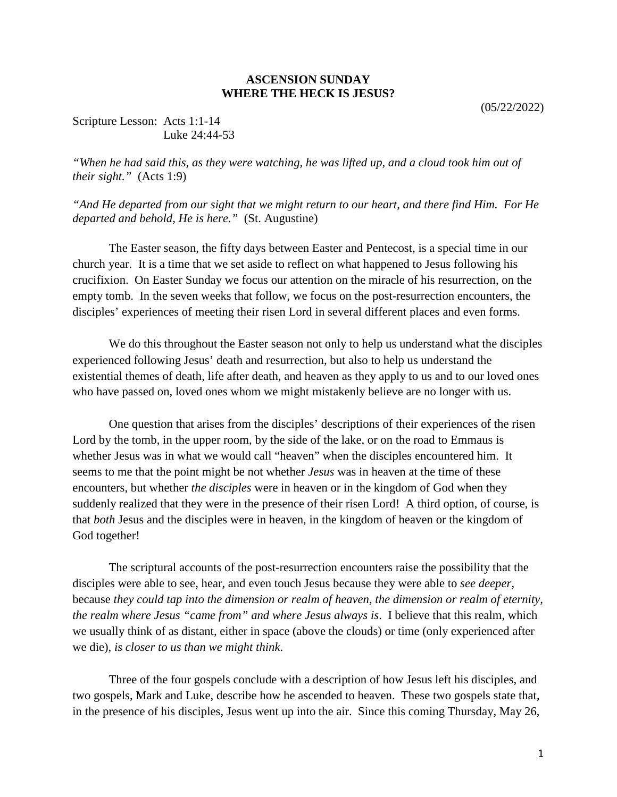## **ASCENSION SUNDAY WHERE THE HECK IS JESUS?**

(05/22/2022)

## Scripture Lesson: Acts 1:1-14 Luke 24:44-53

*"When he had said this, as they were watching, he was lifted up, and a cloud took him out of their sight."* (Acts 1:9)

*"And He departed from our sight that we might return to our heart, and there find Him. For He departed and behold, He is here."* (St. Augustine)

The Easter season, the fifty days between Easter and Pentecost, is a special time in our church year. It is a time that we set aside to reflect on what happened to Jesus following his crucifixion. On Easter Sunday we focus our attention on the miracle of his resurrection, on the empty tomb. In the seven weeks that follow, we focus on the post-resurrection encounters, the disciples' experiences of meeting their risen Lord in several different places and even forms.

We do this throughout the Easter season not only to help us understand what the disciples experienced following Jesus' death and resurrection, but also to help us understand the existential themes of death, life after death, and heaven as they apply to us and to our loved ones who have passed on, loved ones whom we might mistakenly believe are no longer with us.

One question that arises from the disciples' descriptions of their experiences of the risen Lord by the tomb, in the upper room, by the side of the lake, or on the road to Emmaus is whether Jesus was in what we would call "heaven" when the disciples encountered him. It seems to me that the point might be not whether *Jesus* was in heaven at the time of these encounters, but whether *the disciples* were in heaven or in the kingdom of God when they suddenly realized that they were in the presence of their risen Lord! A third option, of course, is that *both* Jesus and the disciples were in heaven, in the kingdom of heaven or the kingdom of God together!

The scriptural accounts of the post-resurrection encounters raise the possibility that the disciples were able to see, hear, and even touch Jesus because they were able to *see deeper*, because *they could tap into the dimension or realm of heaven, the dimension or realm of eternity, the realm where Jesus "came from" and where Jesus always is*. I believe that this realm, which we usually think of as distant, either in space (above the clouds) or time (only experienced after we die), *is closer to us than we might think*.

Three of the four gospels conclude with a description of how Jesus left his disciples, and two gospels, Mark and Luke, describe how he ascended to heaven. These two gospels state that, in the presence of his disciples, Jesus went up into the air. Since this coming Thursday, May 26,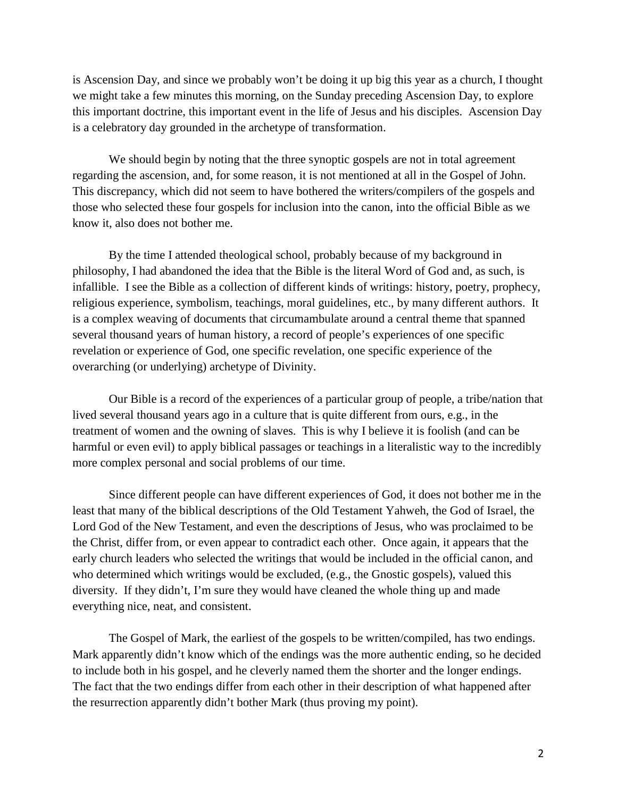is Ascension Day, and since we probably won't be doing it up big this year as a church, I thought we might take a few minutes this morning, on the Sunday preceding Ascension Day, to explore this important doctrine, this important event in the life of Jesus and his disciples. Ascension Day is a celebratory day grounded in the archetype of transformation.

We should begin by noting that the three synoptic gospels are not in total agreement regarding the ascension, and, for some reason, it is not mentioned at all in the Gospel of John. This discrepancy, which did not seem to have bothered the writers/compilers of the gospels and those who selected these four gospels for inclusion into the canon, into the official Bible as we know it, also does not bother me.

By the time I attended theological school, probably because of my background in philosophy, I had abandoned the idea that the Bible is the literal Word of God and, as such, is infallible. I see the Bible as a collection of different kinds of writings: history, poetry, prophecy, religious experience, symbolism, teachings, moral guidelines, etc., by many different authors. It is a complex weaving of documents that circumambulate around a central theme that spanned several thousand years of human history, a record of people's experiences of one specific revelation or experience of God, one specific revelation, one specific experience of the overarching (or underlying) archetype of Divinity.

Our Bible is a record of the experiences of a particular group of people, a tribe/nation that lived several thousand years ago in a culture that is quite different from ours, e.g., in the treatment of women and the owning of slaves. This is why I believe it is foolish (and can be harmful or even evil) to apply biblical passages or teachings in a literalistic way to the incredibly more complex personal and social problems of our time.

Since different people can have different experiences of God, it does not bother me in the least that many of the biblical descriptions of the Old Testament Yahweh, the God of Israel, the Lord God of the New Testament, and even the descriptions of Jesus, who was proclaimed to be the Christ, differ from, or even appear to contradict each other. Once again, it appears that the early church leaders who selected the writings that would be included in the official canon, and who determined which writings would be excluded, (e.g., the Gnostic gospels), valued this diversity. If they didn't, I'm sure they would have cleaned the whole thing up and made everything nice, neat, and consistent.

The Gospel of Mark, the earliest of the gospels to be written/compiled, has two endings. Mark apparently didn't know which of the endings was the more authentic ending, so he decided to include both in his gospel, and he cleverly named them the shorter and the longer endings. The fact that the two endings differ from each other in their description of what happened after the resurrection apparently didn't bother Mark (thus proving my point).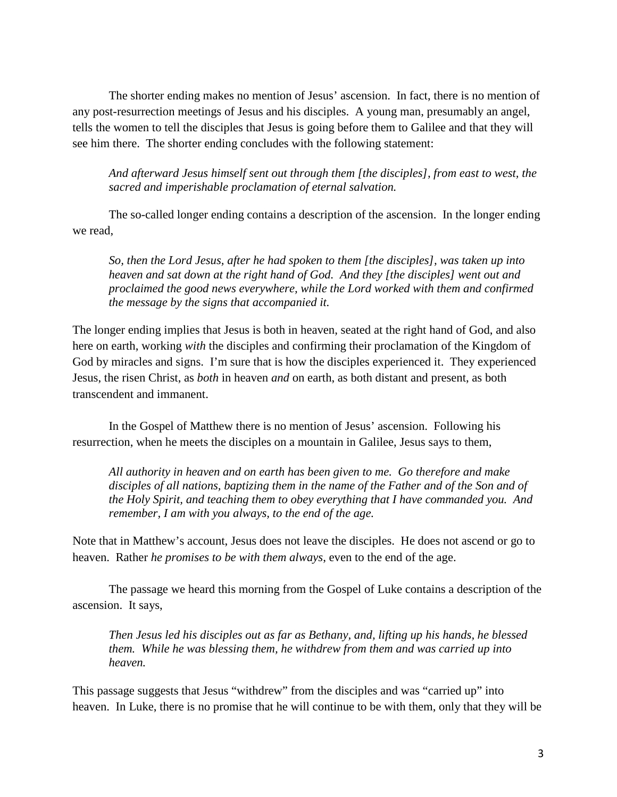The shorter ending makes no mention of Jesus' ascension. In fact, there is no mention of any post-resurrection meetings of Jesus and his disciples. A young man, presumably an angel, tells the women to tell the disciples that Jesus is going before them to Galilee and that they will see him there. The shorter ending concludes with the following statement:

*And afterward Jesus himself sent out through them [the disciples], from east to west, the sacred and imperishable proclamation of eternal salvation.*

The so-called longer ending contains a description of the ascension. In the longer ending we read,

*So, then the Lord Jesus, after he had spoken to them [the disciples], was taken up into heaven and sat down at the right hand of God. And they [the disciples] went out and proclaimed the good news everywhere, while the Lord worked with them and confirmed the message by the signs that accompanied it.*

The longer ending implies that Jesus is both in heaven, seated at the right hand of God, and also here on earth, working *with* the disciples and confirming their proclamation of the Kingdom of God by miracles and signs. I'm sure that is how the disciples experienced it. They experienced Jesus, the risen Christ, as *both* in heaven *and* on earth, as both distant and present, as both transcendent and immanent.

In the Gospel of Matthew there is no mention of Jesus' ascension. Following his resurrection, when he meets the disciples on a mountain in Galilee, Jesus says to them,

*All authority in heaven and on earth has been given to me. Go therefore and make disciples of all nations, baptizing them in the name of the Father and of the Son and of the Holy Spirit, and teaching them to obey everything that I have commanded you. And remember, I am with you always, to the end of the age.*

Note that in Matthew's account, Jesus does not leave the disciples. He does not ascend or go to heaven. Rather *he promises to be with them always*, even to the end of the age.

The passage we heard this morning from the Gospel of Luke contains a description of the ascension. It says,

*Then Jesus led his disciples out as far as Bethany, and, lifting up his hands, he blessed them. While he was blessing them, he withdrew from them and was carried up into heaven.*

This passage suggests that Jesus "withdrew" from the disciples and was "carried up" into heaven. In Luke, there is no promise that he will continue to be with them, only that they will be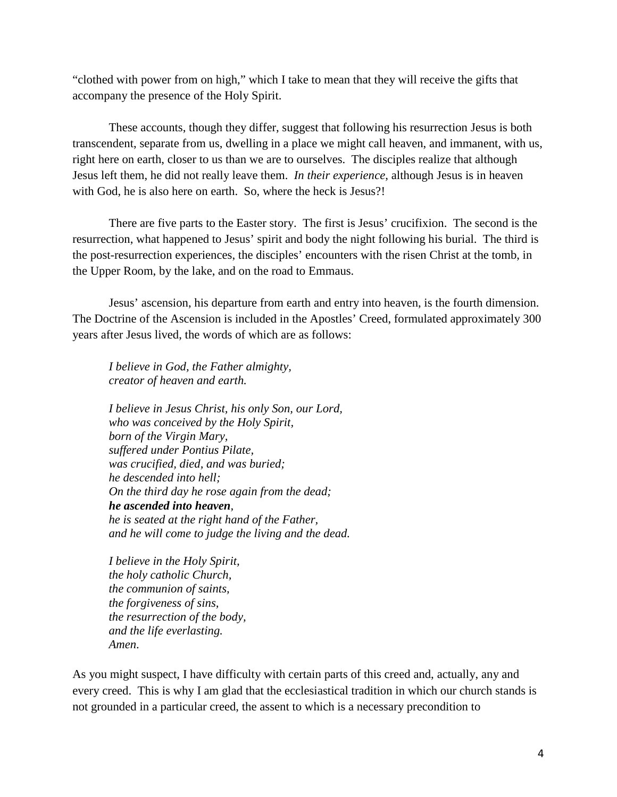"clothed with power from on high," which I take to mean that they will receive the gifts that accompany the presence of the Holy Spirit.

These accounts, though they differ, suggest that following his resurrection Jesus is both transcendent, separate from us, dwelling in a place we might call heaven, and immanent, with us, right here on earth, closer to us than we are to ourselves. The disciples realize that although Jesus left them, he did not really leave them. *In their experience*, although Jesus is in heaven with God, he is also here on earth. So, where the heck is Jesus?!

There are five parts to the Easter story. The first is Jesus' crucifixion. The second is the resurrection, what happened to Jesus' spirit and body the night following his burial. The third is the post-resurrection experiences, the disciples' encounters with the risen Christ at the tomb, in the Upper Room, by the lake, and on the road to Emmaus.

Jesus' ascension, his departure from earth and entry into heaven, is the fourth dimension. The Doctrine of the Ascension is included in the Apostles' Creed, formulated approximately 300 years after Jesus lived, the words of which are as follows:

*I believe in God, the Father almighty, creator of heaven and earth.*

*I believe in Jesus Christ, his only Son, our Lord, who was conceived by the Holy Spirit, born of the Virgin Mary, suffered under Pontius Pilate, was crucified, died, and was buried; he descended into hell; On the third day he rose again from the dead; he ascended into heaven, he is seated at the right hand of the Father, and he will come to judge the living and the dead.*

*I believe in the Holy Spirit, the holy catholic Church, the communion of saints, the forgiveness of sins, the resurrection of the body, and the life everlasting. Amen*.

As you might suspect, I have difficulty with certain parts of this creed and, actually, any and every creed. This is why I am glad that the ecclesiastical tradition in which our church stands is not grounded in a particular creed, the assent to which is a necessary precondition to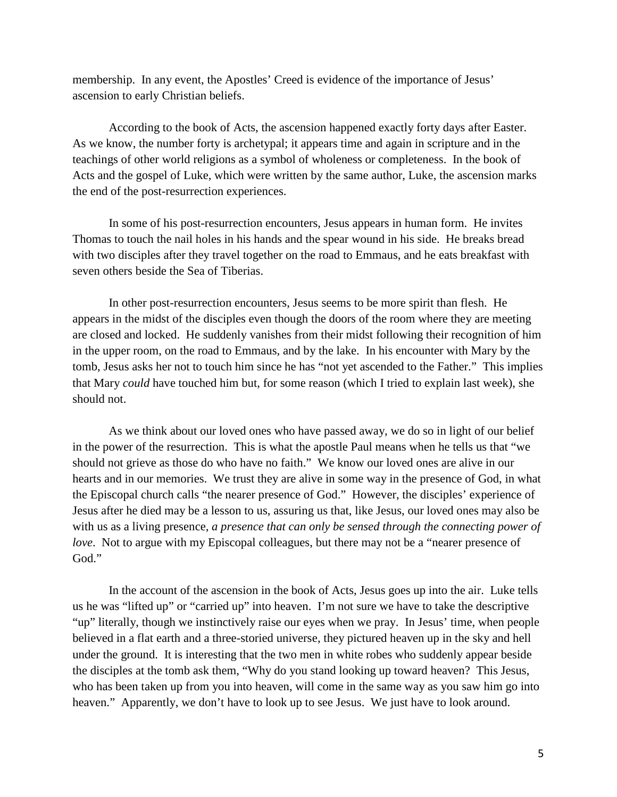membership. In any event, the Apostles' Creed is evidence of the importance of Jesus' ascension to early Christian beliefs.

According to the book of Acts, the ascension happened exactly forty days after Easter. As we know, the number forty is archetypal; it appears time and again in scripture and in the teachings of other world religions as a symbol of wholeness or completeness. In the book of Acts and the gospel of Luke, which were written by the same author, Luke, the ascension marks the end of the post-resurrection experiences.

In some of his post-resurrection encounters, Jesus appears in human form. He invites Thomas to touch the nail holes in his hands and the spear wound in his side. He breaks bread with two disciples after they travel together on the road to Emmaus, and he eats breakfast with seven others beside the Sea of Tiberias.

In other post-resurrection encounters, Jesus seems to be more spirit than flesh. He appears in the midst of the disciples even though the doors of the room where they are meeting are closed and locked. He suddenly vanishes from their midst following their recognition of him in the upper room, on the road to Emmaus, and by the lake. In his encounter with Mary by the tomb, Jesus asks her not to touch him since he has "not yet ascended to the Father." This implies that Mary *could* have touched him but, for some reason (which I tried to explain last week), she should not.

As we think about our loved ones who have passed away, we do so in light of our belief in the power of the resurrection. This is what the apostle Paul means when he tells us that "we should not grieve as those do who have no faith." We know our loved ones are alive in our hearts and in our memories. We trust they are alive in some way in the presence of God, in what the Episcopal church calls "the nearer presence of God." However, the disciples' experience of Jesus after he died may be a lesson to us, assuring us that, like Jesus, our loved ones may also be with us as a living presence, *a presence that can only be sensed through the connecting power of love*. Not to argue with my Episcopal colleagues, but there may not be a "nearer presence of God."

In the account of the ascension in the book of Acts, Jesus goes up into the air. Luke tells us he was "lifted up" or "carried up" into heaven. I'm not sure we have to take the descriptive "up" literally, though we instinctively raise our eyes when we pray. In Jesus' time, when people believed in a flat earth and a three-storied universe, they pictured heaven up in the sky and hell under the ground. It is interesting that the two men in white robes who suddenly appear beside the disciples at the tomb ask them, "Why do you stand looking up toward heaven? This Jesus, who has been taken up from you into heaven, will come in the same way as you saw him go into heaven." Apparently, we don't have to look up to see Jesus. We just have to look around.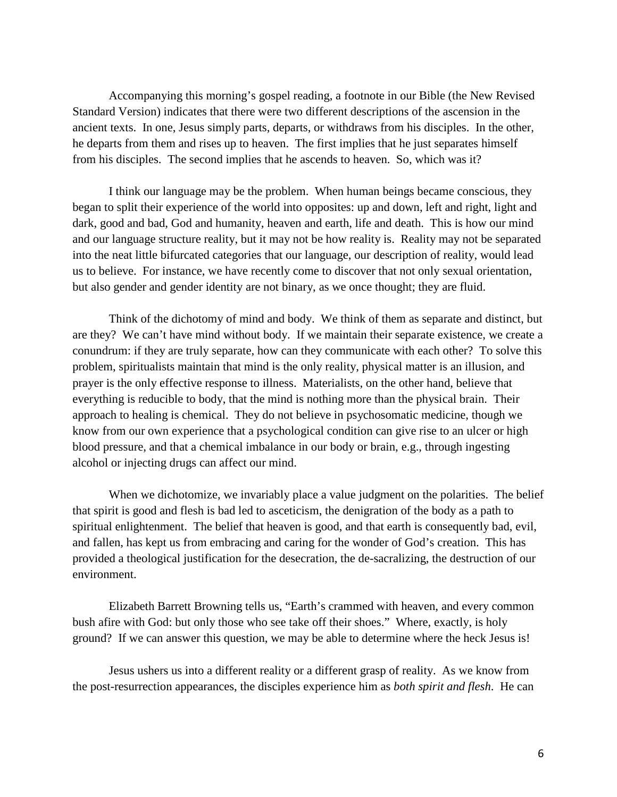Accompanying this morning's gospel reading, a footnote in our Bible (the New Revised Standard Version) indicates that there were two different descriptions of the ascension in the ancient texts. In one, Jesus simply parts, departs, or withdraws from his disciples. In the other, he departs from them and rises up to heaven. The first implies that he just separates himself from his disciples. The second implies that he ascends to heaven. So, which was it?

I think our language may be the problem. When human beings became conscious, they began to split their experience of the world into opposites: up and down, left and right, light and dark, good and bad, God and humanity, heaven and earth, life and death. This is how our mind and our language structure reality, but it may not be how reality is. Reality may not be separated into the neat little bifurcated categories that our language, our description of reality, would lead us to believe. For instance, we have recently come to discover that not only sexual orientation, but also gender and gender identity are not binary, as we once thought; they are fluid.

Think of the dichotomy of mind and body. We think of them as separate and distinct, but are they? We can't have mind without body. If we maintain their separate existence, we create a conundrum: if they are truly separate, how can they communicate with each other? To solve this problem, spiritualists maintain that mind is the only reality, physical matter is an illusion, and prayer is the only effective response to illness. Materialists, on the other hand, believe that everything is reducible to body, that the mind is nothing more than the physical brain. Their approach to healing is chemical. They do not believe in psychosomatic medicine, though we know from our own experience that a psychological condition can give rise to an ulcer or high blood pressure, and that a chemical imbalance in our body or brain, e.g., through ingesting alcohol or injecting drugs can affect our mind.

When we dichotomize, we invariably place a value judgment on the polarities. The belief that spirit is good and flesh is bad led to asceticism, the denigration of the body as a path to spiritual enlightenment. The belief that heaven is good, and that earth is consequently bad, evil, and fallen, has kept us from embracing and caring for the wonder of God's creation. This has provided a theological justification for the desecration, the de-sacralizing, the destruction of our environment.

Elizabeth Barrett Browning tells us, "Earth's crammed with heaven, and every common bush afire with God: but only those who see take off their shoes." Where, exactly, is holy ground? If we can answer this question, we may be able to determine where the heck Jesus is!

Jesus ushers us into a different reality or a different grasp of reality. As we know from the post-resurrection appearances, the disciples experience him as *both spirit and flesh*. He can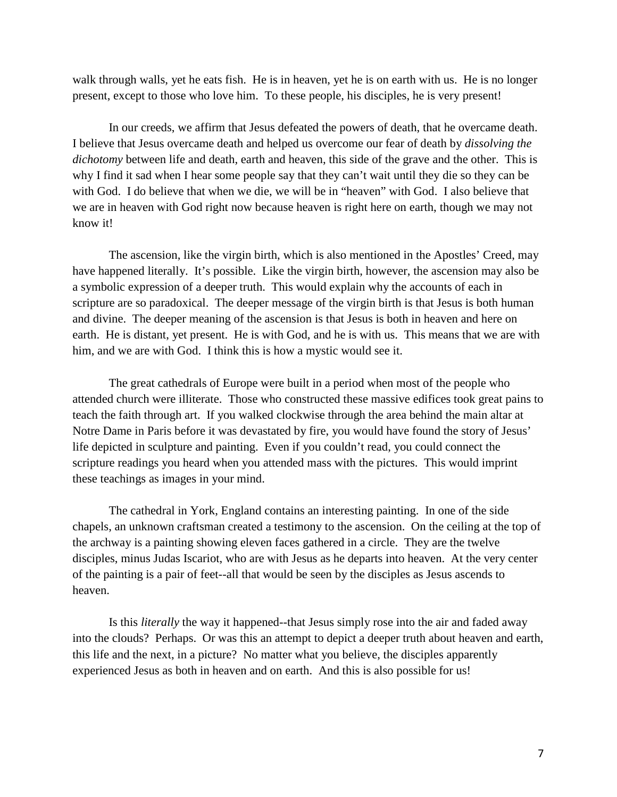walk through walls, yet he eats fish. He is in heaven, yet he is on earth with us. He is no longer present, except to those who love him. To these people, his disciples, he is very present!

In our creeds, we affirm that Jesus defeated the powers of death, that he overcame death. I believe that Jesus overcame death and helped us overcome our fear of death by *dissolving the dichotomy* between life and death, earth and heaven, this side of the grave and the other. This is why I find it sad when I hear some people say that they can't wait until they die so they can be with God. I do believe that when we die, we will be in "heaven" with God. I also believe that we are in heaven with God right now because heaven is right here on earth, though we may not know it!

The ascension, like the virgin birth, which is also mentioned in the Apostles' Creed, may have happened literally. It's possible. Like the virgin birth, however, the ascension may also be a symbolic expression of a deeper truth. This would explain why the accounts of each in scripture are so paradoxical. The deeper message of the virgin birth is that Jesus is both human and divine. The deeper meaning of the ascension is that Jesus is both in heaven and here on earth. He is distant, yet present. He is with God, and he is with us. This means that we are with him, and we are with God. I think this is how a mystic would see it.

The great cathedrals of Europe were built in a period when most of the people who attended church were illiterate. Those who constructed these massive edifices took great pains to teach the faith through art. If you walked clockwise through the area behind the main altar at Notre Dame in Paris before it was devastated by fire, you would have found the story of Jesus' life depicted in sculpture and painting. Even if you couldn't read, you could connect the scripture readings you heard when you attended mass with the pictures. This would imprint these teachings as images in your mind.

The cathedral in York, England contains an interesting painting. In one of the side chapels, an unknown craftsman created a testimony to the ascension. On the ceiling at the top of the archway is a painting showing eleven faces gathered in a circle. They are the twelve disciples, minus Judas Iscariot, who are with Jesus as he departs into heaven. At the very center of the painting is a pair of feet--all that would be seen by the disciples as Jesus ascends to heaven.

Is this *literally* the way it happened--that Jesus simply rose into the air and faded away into the clouds? Perhaps. Or was this an attempt to depict a deeper truth about heaven and earth, this life and the next, in a picture? No matter what you believe, the disciples apparently experienced Jesus as both in heaven and on earth. And this is also possible for us!